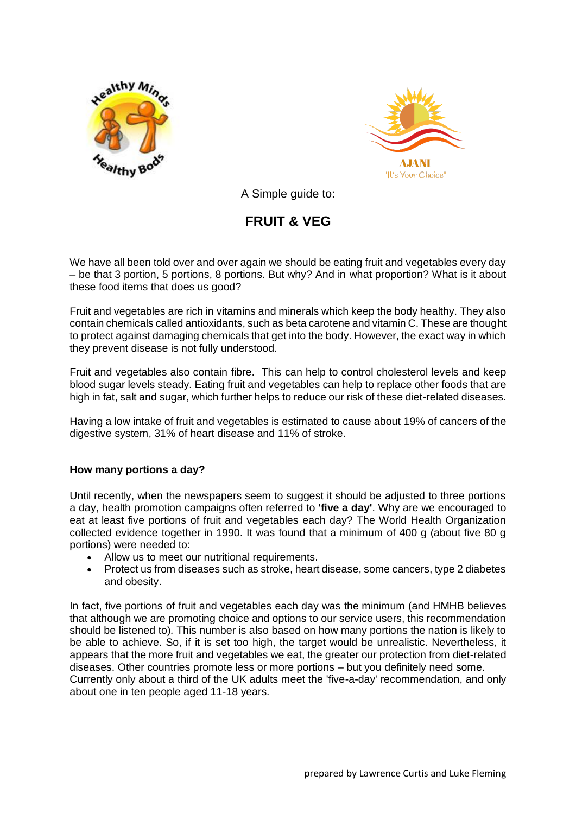



A Simple guide to:

# **FRUIT & VEG**

We have all been told over and over again we should be eating fruit and vegetables every day – be that 3 portion, 5 portions, 8 portions. But why? And in what proportion? What is it about these food items that does us good?

Fruit and vegetables are rich in vitamins and minerals which keep the body healthy. They also contain chemicals called antioxidants, such as beta carotene and vitamin C. These are thought to protect against damaging chemicals that get into the body. However, the exact way in which they prevent disease is not fully understood.

Fruit and vegetables also contain fibre. This can help to control cholesterol levels and keep blood sugar levels steady. Eating fruit and vegetables can help to replace other foods that are high in fat, salt and sugar, which further helps to reduce our risk of these diet-related diseases.

Having a low intake of fruit and vegetables is estimated to cause about 19% of cancers of the digestive system, 31% of heart disease and 11% of stroke.

# **How many portions a day?**

Until recently, when the newspapers seem to suggest it should be adjusted to three portions a day, health promotion campaigns often referred to **'five a day'**. Why are we encouraged to eat at least five portions of fruit and vegetables each day? The World Health Organization collected evidence together in 1990. It was found that a minimum of 400 g (about five 80 g portions) were needed to:

- Allow us to meet our nutritional requirements.
- Protect us from diseases such as stroke, heart disease, some cancers, type 2 diabetes and obesity.

In fact, five portions of fruit and vegetables each day was the minimum (and HMHB believes that although we are promoting choice and options to our service users, this recommendation should be listened to)*.* This number is also based on how many portions the nation is likely to be able to achieve. So, if it is set too high, the target would be unrealistic. Nevertheless, it appears that the more fruit and vegetables we eat, the greater our protection from diet-related diseases. Other countries promote less or more portions – but you definitely need some. Currently only about a third of the UK adults meet the 'five-a-day' recommendation, and only about one in ten people aged 11-18 years.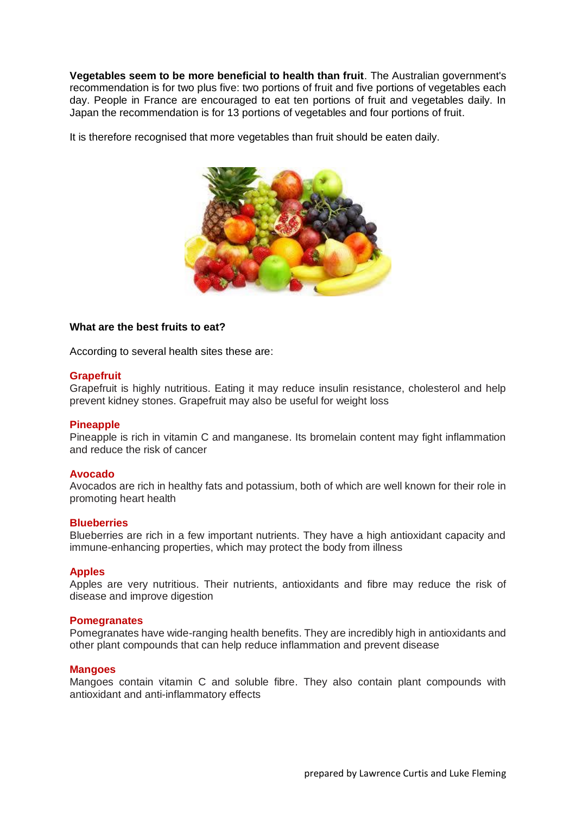**Vegetables seem to be more beneficial to health than fruit**. The Australian government's recommendation is for two plus five: two portions of fruit and five portions of vegetables each day. People in France are encouraged to eat ten portions of fruit and vegetables daily. In Japan the recommendation is for 13 portions of vegetables and four portions of fruit.

It is therefore recognised that more vegetables than fruit should be eaten daily.



# **What are the best fruits to eat?**

According to several health sites these are:

## **Grapefruit**

Grapefruit is highly nutritious. Eating it may reduce insulin resistance, cholesterol and help prevent kidney stones. Grapefruit may also be useful for weight loss

## **Pineapple**

Pineapple is rich in vitamin C and manganese. Its bromelain content may fight inflammation and reduce the risk of cancer

## **Avocado**

Avocados are rich in healthy fats and potassium, both of which are well known for their role in promoting heart health

## **Blueberries**

Blueberries are rich in a few important nutrients. They have a high antioxidant capacity and immune-enhancing properties, which may protect the body from illness

## **Apples**

Apples are very nutritious. Their nutrients, antioxidants and fibre may reduce the risk of disease and improve digestion

## **Pomegranates**

Pomegranates have wide-ranging health benefits. They are incredibly high in antioxidants and other plant compounds that can help reduce inflammation and prevent disease

## **Mangoes**

Mangoes contain vitamin C and soluble fibre. They also contain plant compounds with antioxidant and anti-inflammatory effects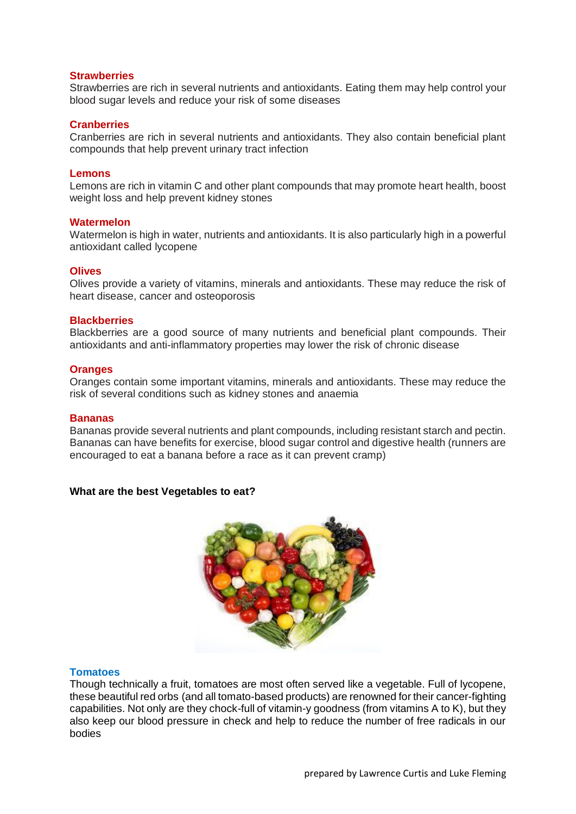## **Strawberries**

Strawberries are rich in several nutrients and antioxidants. Eating them may help control your blood sugar levels and reduce your risk of some diseases

## **Cranberries**

Cranberries are rich in several nutrients and antioxidants. They also contain beneficial plant compounds that help prevent urinary tract infection

#### **Lemons**

Lemons are rich in vitamin C and other plant compounds that may promote heart health, boost weight loss and help prevent kidney stones

#### **Watermelon**

Watermelon is high in water, nutrients and antioxidants. It is also particularly high in a powerful antioxidant called lycopene

#### **Olives**

Olives provide a variety of vitamins, minerals and antioxidants. These may reduce the risk of heart disease, cancer and osteoporosis

#### **Blackberries**

Blackberries are a good source of many nutrients and beneficial plant compounds. Their antioxidants and anti-inflammatory properties may lower the risk of chronic disease

#### **Oranges**

Oranges contain some important vitamins, minerals and antioxidants. These may reduce the risk of several conditions such as kidney stones and anaemia

#### **Bananas**

Bananas provide several nutrients and plant compounds, including resistant starch and pectin. Bananas can have benefits for exercise, blood sugar control and digestive health (runners are encouraged to eat a banana before a race as it can prevent cramp)

## **What are the best Vegetables to eat?**



## **Tomatoes**

Though technically a fruit, tomatoes are most often served like a vegetable. Full of lycopene, these beautiful red orbs (and all tomato-based products) are renowned for their cancer-fighting capabilities. Not only are they chock-full of vitamin-y goodness (from vitamins A to K), but they also keep our blood pressure in check and help to reduce the number of free radicals in our bodies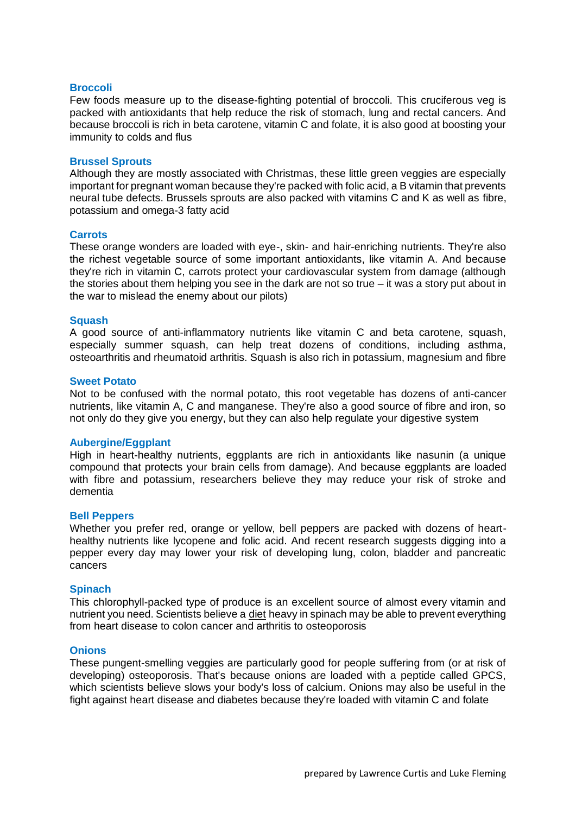## **Broccoli**

Few foods measure up to the disease-fighting potential of broccoli. This cruciferous veg is packed with antioxidants that help reduce the risk of stomach, lung and rectal cancers. And because broccoli is rich in beta carotene, vitamin C and folate, it is also good at boosting your immunity to colds and flus

#### **Brussel Sprouts**

Although they are mostly associated with Christmas, these little green veggies are especially important for pregnant woman because they're packed with folic acid, a B vitamin that prevents neural tube defects. Brussels sprouts are also packed with vitamins C and K as well as fibre, potassium and omega-3 fatty acid

#### **Carrots**

These orange wonders are loaded with eye-, skin- and hair-enriching nutrients. They're also the richest vegetable source of some important antioxidants, like vitamin A. And because they're rich in vitamin C, carrots protect your cardiovascular system from damage (although the stories about them helping you see in the dark are not so true – it was a story put about in the war to mislead the enemy about our pilots)

#### **Squash**

A good source of anti-inflammatory nutrients like vitamin C and beta carotene, squash, especially summer squash, can help treat dozens of conditions, including asthma, osteoarthritis and rheumatoid arthritis. Squash is also rich in potassium, magnesium and fibre

#### **Sweet Potato**

Not to be confused with the normal potato, this root vegetable has dozens of anti-cancer nutrients, like vitamin A, C and manganese. They're also a good source of fibre and iron, so not only do they give you energy, but they can also help regulate your digestive system

#### **Aubergine/Eggplant**

High in heart-healthy nutrients, eggplants are rich in antioxidants like nasunin (a unique compound that protects your brain cells from damage). And because eggplants are loaded with fibre and potassium, researchers believe they may reduce your risk of stroke and dementia

#### **Bell Peppers**

Whether you prefer red, orange or yellow, bell peppers are packed with dozens of hearthealthy nutrients like lycopene and folic acid. And recent research suggests digging into a pepper every day may lower your risk of developing lung, colon, bladder and pancreatic cancers

#### **Spinach**

This chlorophyll-packed type of produce is an excellent source of almost every vitamin and nutrient you need. Scientists believe a [diet](http://rd.bizrate.com/rd?t=http%3A%2F%2Ftracking.searchmarketing.com%2Fclick.asp%3Faid%3D730010300000963944&mid=31509&cat_id=13090209&atom=100001706&prod_id=&oid=7145934275&pos=1&b_id=18&bid_type=10&bamt=235eb41f759d9103&cobrand=1&ppr=0b196084385297ca&af_sid=52&mpid=sku21514925&brandId=657262&keyword=diet&rf=af1&af_assettype_id=10&af_creative_id=2975&af_id=615103&af_placement_id=1) heavy in spinach may be able to prevent everything from heart disease to colon cancer and arthritis to osteoporosis

#### **Onions**

These pungent-smelling veggies are particularly good for people suffering from (or at risk of developing) osteoporosis. That's because onions are loaded with a peptide called GPCS, which scientists believe slows your body's loss of calcium. Onions may also be useful in the fight against heart disease and diabetes because they're loaded with vitamin C and folate